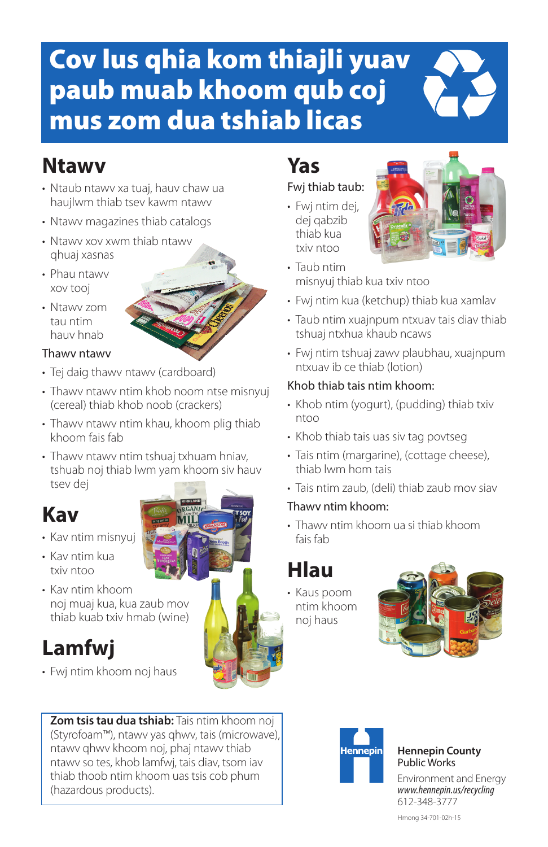# Cov lus qhia kom thiajli yuav paub muab khoom qub coj mus zom dua tshiab licas

## **Ntawv**

- Ntaub ntawv xa tuaj, hauv chaw ua haujlwm thiab tsev kawm ntawv
- Ntawv magazines thiab catalogs
- Ntawv xov xwm thiab ntawv qhuaj xasnas
- Phau ntawv xov tooj
- Ntawv zom tau ntim hauv hnab

#### Thawv ntawv

- Tei daig thawy ntawy (cardboard)
- Thawv ntawv ntim khob noom ntse misnyuj (cereal) thiab khob noob (crackers)
- Thawv ntawv ntim khau, khoom plig thiab khoom fais fab
- Thawv ntawv ntim tshuaj txhuam hniav, tshuab noj thiab lwm yam khoom siv hauv tsev dej



- Kav ntim misnyuj
- Kav ntim kua txiv ntoo
- Kav ntim khoom noj muaj kua, kua zaub mov thiab kuab txiv hmab (wine)

## **Lamfwj**

• Fwj ntim khoom noj haus

**Zom tsis tau dua tshiab:** Tais ntim khoom noj (Styrofoam™), ntawv yas qhwv, tais (microwave), ntawv qhwv khoom noj, phaj ntawv thiab ntawv so tes, khob lamfwj, tais diav, tsom iav thiab thoob ntim khoom uas tsis cob phum (hazardous products).

## **Yas**

#### Fwj thiab taub:

• Fwj ntim dej, dej qabzib thiab kua txiv ntoo



- Taub ntim misnyuj thiab kua txiv ntoo
- Fwj ntim kua (ketchup) thiab kua xamlav
- Taub ntim xuajnpum ntxuav tais diav thiab tshuaj ntxhua khaub ncaws
- Fwj ntim tshuaj zawv plaubhau, xuajnpum ntxuav ib ce thiab (lotion)

#### Khob thiab tais ntim khoom:

- Khob ntim (yogurt), (pudding) thiab txiv ntoo
- Khob thiab tais uas siv tag povtseg
- Tais ntim (margarine), (cottage cheese), thiab lwm hom tais
- Tais ntim zaub, (deli) thiab zaub mov siav

#### Thawv ntim khoom:

• Thawv ntim khoom ua si thiab khoom fais fab

## **Hlau**

• Kaus poom ntim khoom noj haus





#### **Hennepin County** Public Works

Environment and Energy *www.hennepin.us/recycling* 612-348-3777